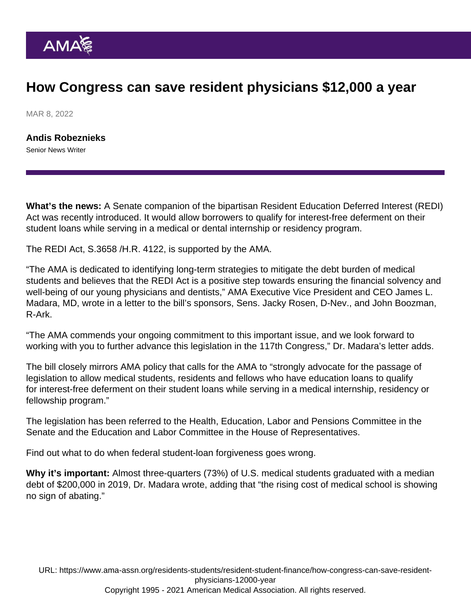## How Congress can save resident physicians \$12,000 a year

MAR 8, 2022

[Andis Robeznieks](https://www.ama-assn.org/news-leadership-viewpoints/authors-news-leadership-viewpoints/andis-robeznieks) Senior News Writer

What's the news: A Senate companion of the bipartisan Resident Education Deferred Interest (REDI) Act was recently introduced. It would allow borrowers to qualify for interest-free deferment on their student loans while serving in a medical or dental internship or residency program.

The REDI Act, S[.3658](https://www.congress.gov/bill/117th-congress/senate-bill/3658/) /H.R. 4122, is supported by the AMA.

"The AMA is dedicated to identifying long-term strategies to mitigate the debt burden of medical students and believes that the REDI Act is a positive step towards ensuring the financial solvency and well-being of our young physicians and dentists," AMA Executive Vice President and CEO [James L.](https://www.ama-assn.org/news-leadership-viewpoints/authors-news-leadership-viewpoints/james-l-madara-md) [Madara, MD](https://www.ama-assn.org/news-leadership-viewpoints/authors-news-leadership-viewpoints/james-l-madara-md), wrote in a letter to the bill's sponsors, Sens. Jacky Rosen, D-Nev., and John Boozman, R-Ark.

"The AMA commends your ongoing commitment to this important issue, and we look forward to working with you to further advance this legislation in the 117th Congress," [Dr. Madara's letter](https://searchlf.ama-assn.org/letter/documentDownload?uri=/unstructured/binary/letter/LETTERS/2022-2-18-Letter-to-Rosen-and-Boozman-re-REDI-Act.pdf) adds.

The bill closely mirrors [AMA policy](https://policysearch.ama-assn.org/policyfinder/detail/interest-free?uri=/AMADoc/HOD.xml-H-305.925.xml) that calls for the AMA to "strongly advocate for the passage of legislation to allow medical students, residents and fellows who have education loans to qualify for interest-free deferment on their student loans while serving in a medical internship, residency or fellowship program."

The legislation has been referred to the Health, Education, Labor and Pensions Committee in the Senate and the Education and Labor Committee in the House of Representatives.

Find out [what to do when federal student-loan forgiveness goes wrong.](https://www.ama-assn.org/residents-students/resident-student-finance/what-do-when-federal-student-loan-forgiveness-goes)

Why it's important: Almost three-quarters (73%) of U.S. medical students graduated with a median debt of \$200,000 in 2019, Dr. Madara wrote, adding that "the rising cost of medical school is showing no sign of abating."

URL: [https://www.ama-assn.org/residents-students/resident-student-finance/how-congress-can-save-resident](https://www.ama-assn.org/residents-students/resident-student-finance/how-congress-can-save-resident-physicians-12000-year)[physicians-12000-year](https://www.ama-assn.org/residents-students/resident-student-finance/how-congress-can-save-resident-physicians-12000-year) Copyright 1995 - 2021 American Medical Association. All rights reserved.